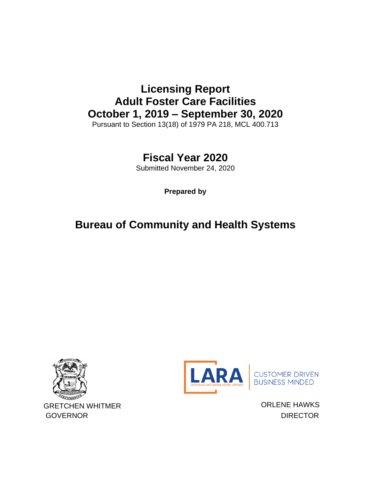# **Licensing Report Adult Foster Care Facilities October 1, 2019 – September 30, 2020**

Pursuant to Section 13(18) of 1979 PA 218, MCL 400.713

## **Fiscal Year 2020**

Submitted November 24, 2020

**Prepared by**

## **Bureau of Community and Health Systems**





CUSTOMER DRIVEN<br>BUSINESS MINDED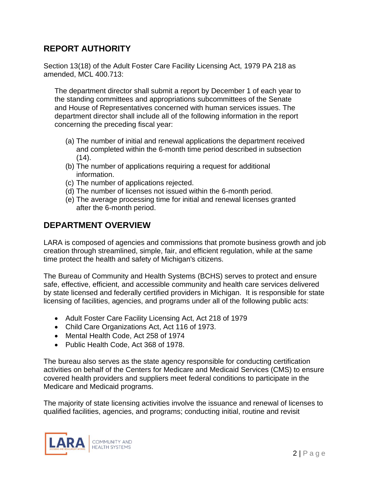### **REPORT AUTHORITY**

Section 13(18) of the Adult Foster Care Facility Licensing Act, 1979 PA 218 as amended, MCL 400.713:

The department director shall submit a report by December 1 of each year to the standing committees and appropriations subcommittees of the Senate and House of Representatives concerned with human services issues. The department director shall include all of the following information in the report concerning the preceding fiscal year:

- (a) The number of initial and renewal applications the department received and completed within the 6-month time period described in subsection  $(14)$ .
- (b) The number of applications requiring a request for additional information.
- (c) The number of applications rejected.
- (d) The number of licenses not issued within the 6-month period.
- (e) The average processing time for initial and renewal licenses granted after the 6-month period.

### **DEPARTMENT OVERVIEW**

LARA is composed of agencies and commissions that promote business growth and job creation through streamlined, simple, fair, and efficient regulation, while at the same time protect the health and safety of Michigan's citizens.

The Bureau of Community and Health Systems (BCHS) serves to protect and ensure safe, effective, efficient, and accessible community and health care services delivered by state licensed and federally certified providers in Michigan. It is responsible for state licensing of facilities, agencies, and programs under all of the following public acts:

- Adult Foster Care Facility Licensing Act, Act 218 of 1979
- Child Care Organizations Act, Act 116 of 1973.
- Mental Health Code, Act 258 of 1974
- Public Health Code, Act 368 of 1978.

The bureau also serves as the state agency responsible for conducting certification activities on behalf of the Centers for Medicare and Medicaid Services (CMS) to ensure covered health providers and suppliers meet federal conditions to participate in the Medicare and Medicaid programs.

The majority of state licensing activities involve the issuance and renewal of licenses to qualified facilities, agencies, and programs; conducting initial, routine and revisit

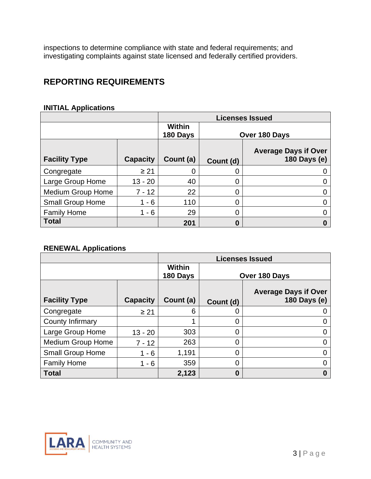inspections to determine compliance with state and federal requirements; and investigating complaints against state licensed and federally certified providers.

### **REPORTING REQUIREMENTS**

#### **INITIAL Applications**

|                          |                 | <b>Licenses Issued</b>    |               |                                             |
|--------------------------|-----------------|---------------------------|---------------|---------------------------------------------|
|                          |                 | <b>Within</b><br>180 Days | Over 180 Days |                                             |
| <b>Facility Type</b>     | <b>Capacity</b> | Count (a)                 | Count (d)     | <b>Average Days if Over</b><br>180 Days (e) |
| Congregate               | $\geq 21$       |                           | 0             |                                             |
| Large Group Home         | $13 - 20$       | 40                        | 0             |                                             |
| <b>Medium Group Home</b> | $7 - 12$        | 22                        | 0             |                                             |
| <b>Small Group Home</b>  | $1 - 6$         | 110                       | 0             |                                             |
| <b>Family Home</b>       | $1 - 6$         | 29                        | 0             |                                             |
| <b>Total</b>             |                 | 201                       | 0             |                                             |

#### **RENEWAL Applications**

|                          |                 |                           |               | <b>Licenses Issued</b>                      |  |
|--------------------------|-----------------|---------------------------|---------------|---------------------------------------------|--|
|                          |                 | <b>Within</b><br>180 Days | Over 180 Days |                                             |  |
| <b>Facility Type</b>     | <b>Capacity</b> | Count (a)                 | Count (d)     | <b>Average Days if Over</b><br>180 Days (e) |  |
| Congregate               | $\geq 21$       | 6                         | $\Omega$      |                                             |  |
| <b>County Infirmary</b>  |                 |                           | 0             |                                             |  |
| Large Group Home         | $13 - 20$       | 303                       | 0             |                                             |  |
| <b>Medium Group Home</b> | $7 - 12$        | 263                       | 0             |                                             |  |
| Small Group Home         | $1 - 6$         | 1,191                     | 0             |                                             |  |
| <b>Family Home</b>       | $1 - 6$         | 359                       | 0             |                                             |  |
| <b>Total</b>             |                 | 2,123                     | 0             |                                             |  |